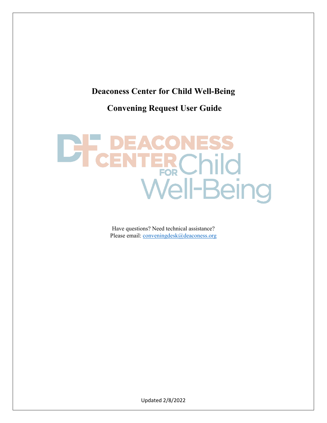#### <span id="page-0-0"></span>**Deaconess Center for Child Well-Being**

**Convening Request User Guide**

# EACONESS<br>NTERChild<br>Well-Being **THE PLAN**

Have questions? Need technical assistance? Please email: [conveningdesk@deaconess.org](mailto:conveningdesk@deaconess.org)

Updated 2/8/2022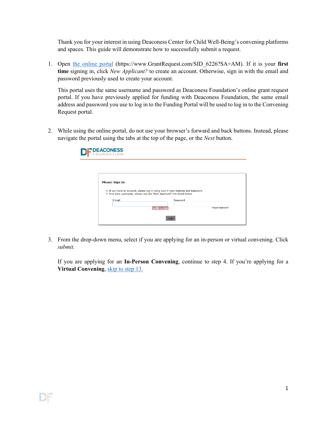Thank you for your interest in using Deaconess Center for Child Well-Being's convening platforms and spaces. This guide will demonstrate how to successfully submit a request.

1. Open [the online portal](https://www.grantrequest.com/SID_6226?SA=AM) (https://www.GrantRequest.com/SID\_6226?SA=AM). If it is your **first time** signing in, click *New Applicant?* to create an account. Otherwise, sign in with the email and password previously used to create your account.

This portal uses the same username and password as Deaconess Foundation's online grant request portal. If you have previously applied for funding with Deaconess Foundation, the same email address and password you use to log in to the Funding Portal will be used to log in to the Convening Request portal.

2. While using the online portal, do not use your browser's forward and back buttons. Instead, please navigate the portal using the tabs at the top of the page, or the *Next* button.

| <b>PDEACONESS</b><br>JNDATION |                                                                                                         |                  |
|-------------------------------|---------------------------------------------------------------------------------------------------------|------------------|
| <b>Please Sign In</b>         | . If you have an account, please log in using your E-mail Address and Password.                         |                  |
| E-mail                        | . First time applicants, please use the "New Applicant" link found below.<br>Password<br>New Applicant? | Forgot Password? |
|                               | Login                                                                                                   |                  |

3. From the drop-down menu, select if you are applying for an in-person or virtual convening. Click *submit.*

If you are applying for an **In-Person Convening**, continue to step 4. If you're applying for a **Virtual Convening**, [skip to step 13.](#page-4-0)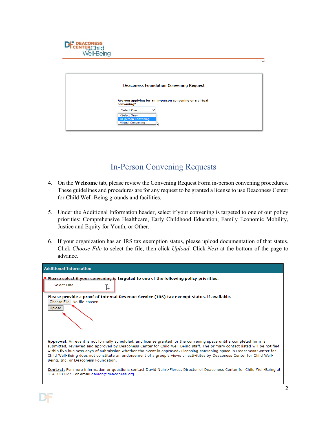| <b>LTCENTERChild<br/>Well-Being</b> |                                                                                                                                                                  |     |
|-------------------------------------|------------------------------------------------------------------------------------------------------------------------------------------------------------------|-----|
|                                     | <b>Deaconess Foundation Convening Request</b>                                                                                                                    | Exi |
|                                     | Are you applying for an in-person convening or a virtual<br>convening?<br>-Select One-<br>-Select One-<br><b>In-person Convening</b><br><b>Virtual Convening</b> |     |

**DIE DEACONESS** 

### In-Person Convening Requests

- 4. On the **Welcome** tab, please review the Convening Request Form in-person convening procedures. These guidelines and procedures are for any request to be granted a license to use Deaconess Center for Child Well-Being grounds and facilities.
- 5. Under the Additional Information header, select if your convening is targeted to one of our policy priorities: Comprehensive Healthcare, Early Childhood Education, Family Economic Mobility, Justice and Equity for Youth, or Other.
- 6. If your organization has an IRS tax exemption status, please upload documentation of that status. Click *Choose File* to select the file, then click *Upload*. Click *Next* at the bottom of the page to advance.

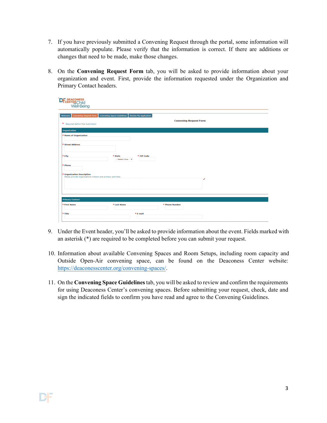- 7. If you have previously submitted a Convening Request through the portal, some information will automatically populate. Please verify that the information is correct. If there are additions or changes that need to be made, make those changes.
- 8. On the **Convening Request Form** tab, you will be asked to provide information about your organization and event. First, provide the information requested under the Organization and Primary Contact headers.

| <b>CH-DEACONESS</b><br>Well-Being                                                          |                                                                   |                               |
|--------------------------------------------------------------------------------------------|-------------------------------------------------------------------|-------------------------------|
| <b>Convening Request Form</b><br>Welcome<br>* Required before final submission             | <b>Convening Space Guidelines</b><br><b>Review My Application</b> | <b>Convening Request Form</b> |
| Organization                                                                               |                                                                   |                               |
| * Name of Organization                                                                     |                                                                   |                               |
| * Street Address                                                                           |                                                                   |                               |
| * City                                                                                     | * State<br>- Select One - Y                                       | * ZIP Code                    |
| * Phone                                                                                    |                                                                   |                               |
| * Organization Description<br>Please provide organizations mission and primary activities. |                                                                   |                               |
|                                                                                            |                                                                   |                               |
|                                                                                            |                                                                   |                               |
| <b>Primary Contact</b>                                                                     |                                                                   |                               |
| * First Name                                                                               | * Last Name                                                       | * Phone Number                |
| * Title                                                                                    | * E-mail                                                          |                               |

- 9. Under the Event header, you'll be asked to provide information about the event. Fields marked with an asterisk (\*) are required to be completed before you can submit your request.
- 10. Information about available Convening Spaces and Room Setups, including room capacity and Outside Open-Air convening space, can be found on the Deaconess Center website: [https://deaconesscenter.org/convening-spaces/.](https://deaconesscenter.org/convening-spaces/)
- 11. On the **Convening Space Guidelines**tab, you will be asked to review and confirm the requirements for using Deaconess Center's convening spaces. Before submitting your request, check, date and sign the indicated fields to confirm you have read and agree to the Convening Guidelines.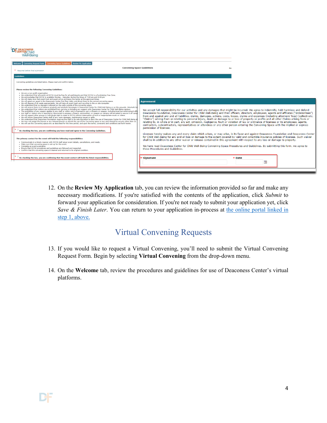| <b>CENTER</b> Child<br>Well-Beina                                                                                                                                                                                                                                                                                                                                                                                                                                                                                                                                                                                                                                                                                                                                                                                                                                                                                                                                                                                                                                                                                                                                                                                                                                                                                                                                                                                                                                                                                                                                                                                                                                                                                                                                                                                                                                                                                                                                                             |                                                                                                                                                                                                                                                                                                                                                                                                                                                                                                                                                                                                                                                                                                                                                                                                                                                                                                              |
|-----------------------------------------------------------------------------------------------------------------------------------------------------------------------------------------------------------------------------------------------------------------------------------------------------------------------------------------------------------------------------------------------------------------------------------------------------------------------------------------------------------------------------------------------------------------------------------------------------------------------------------------------------------------------------------------------------------------------------------------------------------------------------------------------------------------------------------------------------------------------------------------------------------------------------------------------------------------------------------------------------------------------------------------------------------------------------------------------------------------------------------------------------------------------------------------------------------------------------------------------------------------------------------------------------------------------------------------------------------------------------------------------------------------------------------------------------------------------------------------------------------------------------------------------------------------------------------------------------------------------------------------------------------------------------------------------------------------------------------------------------------------------------------------------------------------------------------------------------------------------------------------------------------------------------------------------------------------------------------------------|--------------------------------------------------------------------------------------------------------------------------------------------------------------------------------------------------------------------------------------------------------------------------------------------------------------------------------------------------------------------------------------------------------------------------------------------------------------------------------------------------------------------------------------------------------------------------------------------------------------------------------------------------------------------------------------------------------------------------------------------------------------------------------------------------------------------------------------------------------------------------------------------------------------|
| <b>Review My Application</b><br><b>Convening Request Form</b><br><b>Convening Space Guidelines</b><br>Welcome<br><b>Convening Space Guidelines</b><br>* Required before final submission                                                                                                                                                                                                                                                                                                                                                                                                                                                                                                                                                                                                                                                                                                                                                                                                                                                                                                                                                                                                                                                                                                                                                                                                                                                                                                                                                                                                                                                                                                                                                                                                                                                                                                                                                                                                      | Prii                                                                                                                                                                                                                                                                                                                                                                                                                                                                                                                                                                                                                                                                                                                                                                                                                                                                                                         |
| <b>Guidelines</b><br>Convening guidelines are listed below. Please read and confirm below.<br><b>Please review the following Convening Guidelines:</b>                                                                                                                                                                                                                                                                                                                                                                                                                                                                                                                                                                                                                                                                                                                                                                                                                                                                                                                                                                                                                                                                                                                                                                                                                                                                                                                                                                                                                                                                                                                                                                                                                                                                                                                                                                                                                                        |                                                                                                                                                                                                                                                                                                                                                                                                                                                                                                                                                                                                                                                                                                                                                                                                                                                                                                              |
| We are a non-profit organization<br>. We understand that all events at DCCW must be free for all participants and that DCCW is a Fundraising Free Zone.<br>. We acknowledge that DCCW is available Monday - Saturday during the times of 7:00 am and 9:00 pm<br>. We will make sure that event host and quest arrive and leave the center at the approved times.<br>. We will greet our quest in the Deaconess Center first floor lobby and direct them to the correct convening space.<br>. We will dispose of all waste appropriately. We will take all event trash and recycling to the on site dumpster.<br>. We understand that no signage is allowed on the walls outside of the convening space.<br>. We will ensure there is no tobacco products and alcoholic beverages in Deaconess Center for Child Well-Being or on the grounds. (Alcoholic be<br>. We understand that visitors are prohibited from carrying or bringing any weapon onto Deaconess Center for Child Well-Being campus.<br>. The prohibition of any weapon applies to any staff or visitor who is licensed to carry a firearm or weapon, including local law-enforcement office<br>Any staff or visitors who is reported or discovered to possess a firearm, ammunition, or weapon on campus will be asked to secure it off camp<br>. We will respect other groups or individuals right to meet in DCCW without interruption of loud or inappropriate music or videos.<br>. We will inform Deaconess Center staff of any room damages, maintenance issues or spills.<br>. We understand that Deaconess Foundation reserves the right in its sole discretion to deny the use of Deaconess Center for Child Well-Being a<br>. We may not assign the license or any interest therein or permit the use of the Convening space or any part thereof by anyone other than us.<br>. We will use the Convening space only as described for the time period, and upon the terms, covenants and conditions set forth herein. | <b>Agreement</b><br>We accept full responsibility for our activities and any damages that might be incurred. We agree to indemnify, hold harmless and defend<br>Deaconess Foundation, Deaconess Center for Child Well-Being and their officers, directors, employees, agents and affiliates ("Indemnitees")<br>from and against any and all liabilities, claims, damages, actions, costs, losses, claims and expenses (including attorneys' fees) (collectively,<br>"Claims") arising from or relating to personal iniury, death or damage to or loss of property or profits and all other Claims arising from or<br>relating to, in whole or in part, any act, omission, negligence, fault or violation of law or ordinance of licensee or its employees, agents,<br>contractors, subcontractors, representatives or attendees or any other person entering the Convening Space with the implied or express |
| $\Box$ By checking the box, you are confirming you have read and agree to the Convening Guidelines.<br>The primary contact for the event will hold the following responsibilities:<br>. Communicate in a timely manner with DCCW staff about event details, cancellations, and needs.<br>. Make sure that convening space is set-up for the event.<br>• Complete an event evaluation.<br>. Ensure that DCCW procedures and quidelines are followed and respected.<br>. Confirm that the convening space is cleaned and returned to its original condition.                                                                                                                                                                                                                                                                                                                                                                                                                                                                                                                                                                                                                                                                                                                                                                                                                                                                                                                                                                                                                                                                                                                                                                                                                                                                                                                                                                                                                                    | permission of licensee.<br>Licensee hereby waives any and every claim which arises, or may arise, in its favor and against Deaconess Foundation and Deaconess Center<br>for Child Well-Being for any and all loss or damage to the extent covered by valid and collectible insurance policies of licensee. Such waiver<br>shall be in addition to any other waiver or release contained in this agreement with respect to any loss or damage to property.<br>We have read Deaconess Center for Child Well-Being Convening Space Procedures and Guidelines, By submitting this form, we agree to<br>these Procedures and Guidelines.                                                                                                                                                                                                                                                                          |
| By checking the box, you are confirming that the event contact will hold the listed responsibilities.                                                                                                                                                                                                                                                                                                                                                                                                                                                                                                                                                                                                                                                                                                                                                                                                                                                                                                                                                                                                                                                                                                                                                                                                                                                                                                                                                                                                                                                                                                                                                                                                                                                                                                                                                                                                                                                                                         | <b>Signature</b><br>* Date                                                                                                                                                                                                                                                                                                                                                                                                                                                                                                                                                                                                                                                                                                                                                                                                                                                                                   |

12. On the **Review My Application** tab, you can review the information provided so far and make any necessary modifications. If you're satisfied with the contents of the application, click *Submit* to forward your application for consideration. If you're not ready to submit your application yet, click *Save & Finish Later*. You can return to your application in-process at [the online portal linked in](#page-0-0)  [step 1, above.](#page-0-0)

## Virtual Convening Requests

- <span id="page-4-0"></span>13. If you would like to request a Virtual Convening, you'll need to submit the Virtual Convening Request Form. Begin by selecting **Virtual Convening** from the drop-down menu.
- 14. On the **Welcome** tab, review the procedures and guidelines for use of Deaconess Center's virtual platforms.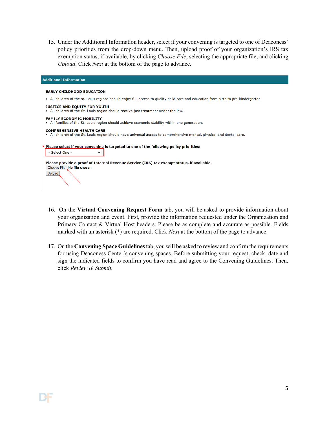15. Under the Additional Information header, select if your convening is targeted to one of Deaconess' policy priorities from the drop-down menu. Then, upload proof of your organization's IRS tax exemption status, if available, by clicking *Choose File*, selecting the appropriate file, and clicking *Upload*. Click *Next* at the bottom of the page to advance.

| <b>Additional Information</b>                                                                                                                              |
|------------------------------------------------------------------------------------------------------------------------------------------------------------|
| <b>EARLY CHILDHOOD EDUCATION</b>                                                                                                                           |
| • All children of the st. Louis regions should enjoy full access to quality child care and education from birth to pre-kindergarten.                       |
| <b>JUSTICE AND EQUITY FOR YOUTH</b><br>. All children of the St. Louis region should receive just treatment under the law.                                 |
| <b>FAMILY ECONOMIC MOBILITY</b><br>• All families of the St. Louis region should achieve economic stability within one generation.                         |
| <b>COMPREHENSIVE HEALTH CARE</b><br>. All children of the St. Louis region should have universal access to comprehensive mental, physical and dental care. |
| * Please select if your convening is targeted to one of the following policy priorities:<br>- Select One -<br>$\check{ }$                                  |
| Please provide a proof of Internal Revenue Service (IRS) tax exempt status, if available.<br>Choose File   No file chosen<br>Upload                        |

- 16. On the **Virtual Convening Request Form** tab, you will be asked to provide information about your organization and event. First, provide the information requested under the Organization and Primary Contact & Virtual Host headers. Please be as complete and accurate as possible. Fields marked with an asterisk (\*) are required. Click *Next* at the bottom of the page to advance.
- 17. On the **Convening Space Guidelines**tab, you will be asked to review and confirm the requirements for using Deaconess Center's convening spaces. Before submitting your request, check, date and sign the indicated fields to confirm you have read and agree to the Convening Guidelines. Then, click *Review & Submit.*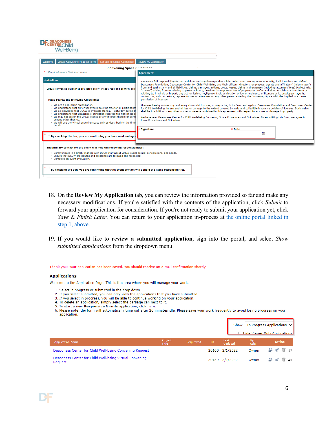#### **DEACONESS Well-Being**

| Virtual Convening Request Form<br><b>Convening Space Guidelines</b><br>Welcome                                                                                                                                                                                                                                                                                                                                                                              | <b>Review My Application</b>                                                                                                                                                                                                                                                                                                                                                                                                                                                                                                                                                                                                                                                                                                                                                                                                                                                                                        |  |  |  |  |
|-------------------------------------------------------------------------------------------------------------------------------------------------------------------------------------------------------------------------------------------------------------------------------------------------------------------------------------------------------------------------------------------------------------------------------------------------------------|---------------------------------------------------------------------------------------------------------------------------------------------------------------------------------------------------------------------------------------------------------------------------------------------------------------------------------------------------------------------------------------------------------------------------------------------------------------------------------------------------------------------------------------------------------------------------------------------------------------------------------------------------------------------------------------------------------------------------------------------------------------------------------------------------------------------------------------------------------------------------------------------------------------------|--|--|--|--|
| <b>Convening Space Cuidelines</b><br>* Required before final submission                                                                                                                                                                                                                                                                                                                                                                                     | which are compared to the company of<br><b>Agreement</b>                                                                                                                                                                                                                                                                                                                                                                                                                                                                                                                                                                                                                                                                                                                                                                                                                                                            |  |  |  |  |
|                                                                                                                                                                                                                                                                                                                                                                                                                                                             |                                                                                                                                                                                                                                                                                                                                                                                                                                                                                                                                                                                                                                                                                                                                                                                                                                                                                                                     |  |  |  |  |
| <b>Guidelines</b><br>Virtual convening guidelines are listed below. Please read and confirm belo<br><b>Please review the following Guidelines:</b>                                                                                                                                                                                                                                                                                                          | We accept full responsibility for our activities and any damages that might be incurred. We agree to indemnify, hold harmless and defend<br>Deaconess Foundation, Deaconess Center for Child Well-Being and their officers, directors, employees, agents and affiliates ("Indemnitees")<br>from and against any and all liabilities, claims, damages, actions, costs, losses, claims and expenses (including attorneys' fees) (collectively,<br>"Claims") arising from or relating to personal injury, death or damage to or loss of property or profits and all other Claims arising from or<br>relating to, in whole or in part, any act, omission, negligence, fault or violation of law or ordinance of licensee or its employees, agents,<br>contractors, subcontractors, representatives or attendees or any other person entering the Convening Space with the implied or express<br>permission of licensee. |  |  |  |  |
| . We are a non-profit organization.<br>. We understand that all virtual events must be free for all participants<br>. We acknowledge that DCCW is available Monday - Saturday during th<br>. We understand that Deaconess Foundation reserves the right in its so<br>. We may not assign the virtual license or any interest therein or perm<br>anvone other than us.<br>. We will use the virtual onvening space only as described for the time<br>herein. | Licensee hereby waives any and every claim which arises, or may arise, in its favor and against Deaconess Foundation and Deaconess Center<br>for Child Well-Being for any and all loss or damage to the extent covered by valid and collectible insurance policies of licensee. Such waiver<br>shall be in addition to any other waiver or release contained in this agreement with respect to any loss or damage to property.<br>We have read Deaconess Center for Child Well-Being Convening Space Procedures and Guidelines. By submitting this form, we agree to<br>these Procedures and Guidelines.                                                                                                                                                                                                                                                                                                            |  |  |  |  |
| By checking the box, you are confirming you have read and agree                                                                                                                                                                                                                                                                                                                                                                                             | <b>Signature</b><br>* Date<br>℡                                                                                                                                                                                                                                                                                                                                                                                                                                                                                                                                                                                                                                                                                                                                                                                                                                                                                     |  |  |  |  |
| The primary contact for the event will hold the following responsibilities:<br>. Communicate in a timely manner with DCCW staff about virtual event details, cancellations, and needs.<br>. Ensure that DCCW procedures and guidelines are followed and respected.<br>• Complete an event evaluation.<br>By checking the box, you are confirming that the event contact will uphold the listed responsibilities.                                            |                                                                                                                                                                                                                                                                                                                                                                                                                                                                                                                                                                                                                                                                                                                                                                                                                                                                                                                     |  |  |  |  |

- 18. On the **Review My Application** tab, you can review the information provided so far and make any necessary modifications. If you're satisfied with the contents of the application, click *Submit* to forward your application for consideration. If you're not ready to submit your application yet, click *Save & Finish Later*. You can return to your application in-process at the online portal linked in [step 1, above.](#page-0-0)
- 19. If you would like to **review a submitted application**, sign into the portal, and select *Show submitted applications* from the dropdown menu.

Thank you! Your application has been saved. You should receive an e-mail confirmation shortly.

#### **Applications**

Welcome to the Application Page. This is the area where you will manage your work.

- 1. Select in progress or submitted in the drop down.
- 2. If you select submitted, you can only view the applications that you have submitted.
- 3. If you select in progress, you will be able to continue working on your application.
- 4. To delete an application, simply select the garbage can next to it.
- 5. To start a new Responsive Grants application, click here.

6. Please note, the form will automatically time out after 20 minutes idle. Please save your work frequently to avoid losing progress on your application.

|                                                                    |                  |           |       | Show            |            | In Progress Applications $\vee$<br>Hide Viewer Only Annlications |
|--------------------------------------------------------------------|------------------|-----------|-------|-----------------|------------|------------------------------------------------------------------|
| <b>Application Name</b>                                            | Project<br>Title | Requested | ID    | Last<br>Updated | My<br>Role | <b>Action</b>                                                    |
| Deaconess Center for Child Well-being Convening Request            |                  |           |       | 20160 2/1/2022  | Owner      | * ㅎ ▒ ㄷ                                                          |
| Deaconess Center for Child Well-being Virtual Convening<br>Request |                  |           | 20159 | 2/1/2022        | Owner      | * ㅎ ` ㄷ                                                          |